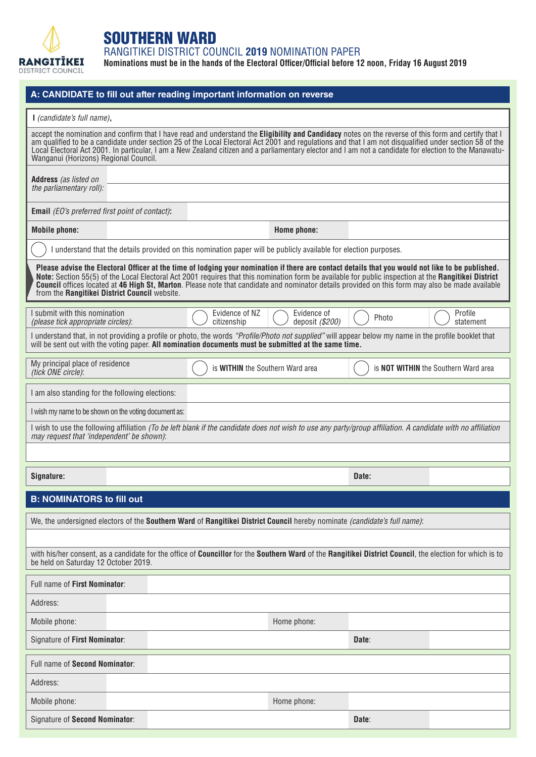

## SOUTHERN WARD

RANGITIKEI DISTRICT COUNCIL **2019** NOMINATION PAPER

**Nominations must be in the hands of the Electoral Officer/Official before 12 noon, Friday 16 August 2019**

| A: CANDIDATE to fill out after reading important information on reverse                                                                                                                                                                                                                                                                                                                                                                                                                                              |                                  |                               |                                                                                                                   |                                      |                      |  |  |
|----------------------------------------------------------------------------------------------------------------------------------------------------------------------------------------------------------------------------------------------------------------------------------------------------------------------------------------------------------------------------------------------------------------------------------------------------------------------------------------------------------------------|----------------------------------|-------------------------------|-------------------------------------------------------------------------------------------------------------------|--------------------------------------|----------------------|--|--|
| I (candidate's full name),                                                                                                                                                                                                                                                                                                                                                                                                                                                                                           |                                  |                               |                                                                                                                   |                                      |                      |  |  |
| accept the nomination and confirm that I have read and understand the Eligibility and Candidacy notes on the reverse of this form and certify that I<br>am qualified to be a candidate under section 25 of the Local Electoral Act 2001 and regulations and that I am not disqualified under section 58 of the<br>Local Electoral Act 2001. In particular, I am a New Zealand citizen and a parliamentary elector and I am not a candidate for election to the Manawatu-<br>Wanganui (Horizons) Regional Council.    |                                  |                               |                                                                                                                   |                                      |                      |  |  |
| Address (as listed on                                                                                                                                                                                                                                                                                                                                                                                                                                                                                                |                                  |                               |                                                                                                                   |                                      |                      |  |  |
| the parliamentary roll):                                                                                                                                                                                                                                                                                                                                                                                                                                                                                             |                                  |                               |                                                                                                                   |                                      |                      |  |  |
| <b>Email</b> (EO's preferred first point of contact):                                                                                                                                                                                                                                                                                                                                                                                                                                                                |                                  |                               |                                                                                                                   |                                      |                      |  |  |
| <b>Mobile phone:</b>                                                                                                                                                                                                                                                                                                                                                                                                                                                                                                 |                                  |                               | Home phone:                                                                                                       |                                      |                      |  |  |
|                                                                                                                                                                                                                                                                                                                                                                                                                                                                                                                      |                                  |                               | I understand that the details provided on this nomination paper will be publicly available for election purposes. |                                      |                      |  |  |
| Please advise the Electoral Officer at the time of lodging your nomination if there are contact details that you would not like to be published.<br>Note: Section 55(5) of the Local Electoral Act 2001 requires that this nomination form be available for public inspection at the Rangitikei District<br><b>Council</b> offices located at 46 High St, Marton. Please note that candidate and nominator details provided on this form may also be made available<br>from the Rangitikei District Council website. |                                  |                               |                                                                                                                   |                                      |                      |  |  |
| I submit with this nomination<br>(please tick appropriate circles):                                                                                                                                                                                                                                                                                                                                                                                                                                                  |                                  | Evidence of NZ<br>citizenship | Evidence of<br>deposit (\$200)                                                                                    | Photo                                | Profile<br>statement |  |  |
| I understand that, in not providing a profile or photo, the words "Profile/Photo not supplied" will appear below my name in the profile booklet that<br>will be sent out with the voting paper. All nomination documents must be submitted at the same time.                                                                                                                                                                                                                                                         |                                  |                               |                                                                                                                   |                                      |                      |  |  |
| My principal place of residence<br>(tick ONE circle):                                                                                                                                                                                                                                                                                                                                                                                                                                                                | is WITHIN the Southern Ward area |                               |                                                                                                                   | is NOT WITHIN the Southern Ward area |                      |  |  |
| I am also standing for the following elections:                                                                                                                                                                                                                                                                                                                                                                                                                                                                      |                                  |                               |                                                                                                                   |                                      |                      |  |  |
| I wish my name to be shown on the voting document as:                                                                                                                                                                                                                                                                                                                                                                                                                                                                |                                  |                               |                                                                                                                   |                                      |                      |  |  |
| I wish to use the following affiliation (To be left blank if the candidate does not wish to use any party/group affiliation. A candidate with no affiliation<br>may request that 'independent' be shown):                                                                                                                                                                                                                                                                                                            |                                  |                               |                                                                                                                   |                                      |                      |  |  |
|                                                                                                                                                                                                                                                                                                                                                                                                                                                                                                                      |                                  |                               |                                                                                                                   |                                      |                      |  |  |
| Signature:                                                                                                                                                                                                                                                                                                                                                                                                                                                                                                           |                                  |                               |                                                                                                                   | Date:                                |                      |  |  |
|                                                                                                                                                                                                                                                                                                                                                                                                                                                                                                                      |                                  |                               |                                                                                                                   |                                      |                      |  |  |
| <b>B: NOMINATORS to fill out</b>                                                                                                                                                                                                                                                                                                                                                                                                                                                                                     |                                  |                               |                                                                                                                   |                                      |                      |  |  |
| We, the undersigned electors of the Southern Ward of Rangitikei District Council hereby nominate (candidate's full name):                                                                                                                                                                                                                                                                                                                                                                                            |                                  |                               |                                                                                                                   |                                      |                      |  |  |
| with his/her consent, as a candidate for the office of Councillor for the Southern Ward of the Rangitikei District Council, the election for which is to<br>be held on Saturday 12 October 2019.                                                                                                                                                                                                                                                                                                                     |                                  |                               |                                                                                                                   |                                      |                      |  |  |
| Full name of First Nominator:                                                                                                                                                                                                                                                                                                                                                                                                                                                                                        |                                  |                               |                                                                                                                   |                                      |                      |  |  |
| Address:                                                                                                                                                                                                                                                                                                                                                                                                                                                                                                             |                                  |                               |                                                                                                                   |                                      |                      |  |  |
| Mobile phone:                                                                                                                                                                                                                                                                                                                                                                                                                                                                                                        |                                  |                               | Home phone:                                                                                                       |                                      |                      |  |  |
| Signature of First Nominator:                                                                                                                                                                                                                                                                                                                                                                                                                                                                                        |                                  |                               |                                                                                                                   | Date:                                |                      |  |  |
| Full name of Second Nominator:                                                                                                                                                                                                                                                                                                                                                                                                                                                                                       |                                  |                               |                                                                                                                   |                                      |                      |  |  |
| Address:                                                                                                                                                                                                                                                                                                                                                                                                                                                                                                             |                                  |                               |                                                                                                                   |                                      |                      |  |  |
| Mobile phone:                                                                                                                                                                                                                                                                                                                                                                                                                                                                                                        |                                  |                               | Home phone:                                                                                                       |                                      |                      |  |  |
| Signature of Second Nominator:                                                                                                                                                                                                                                                                                                                                                                                                                                                                                       |                                  |                               |                                                                                                                   | Date:                                |                      |  |  |